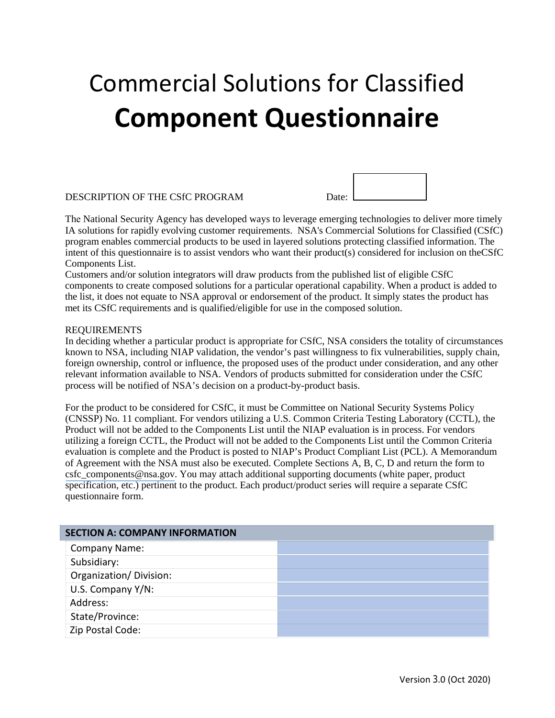# Commercial Solutions for Classified **Component Questionnaire**

#### DESCRIPTION OF THE CSfC PROGRAM Date:

The National Security Agency has developed ways to leverage emerging technologies to deliver more timely IA solutions for rapidly evolving customer requirements. NSA's Commercial Solutions for Classified (CSfC) program enables commercial products to be used in layered solutions protecting classified information. The intent of this questionnaire is to assist vendors who want their product(s) considered for inclusion on theCSfC Components List.

Customers and/or solution integrators will draw products from the published list of eligible CSfC components to create composed solutions for a particular operational capability. When a product is added to the list, it does not equate to NSA approval or endorsement of the product. It simply states the product has met its CSfC requirements and is qualified/eligible for use in the composed solution.

#### REQUIREMENTS

In deciding whether a particular product is appropriate for CSfC, NSA considers the totality of circumstances known to NSA, including NIAP validation, the vendor's past willingness to fix vulnerabilities, supply chain, foreign ownership, control or influence, the proposed uses of the product under consideration, and any other relevant information available to NSA. Vendors of products submitted for consideration under the CSfC process will be notified of NSA's decision on a product-by-product basis.

For the product to be considered for CSfC, it must be Committee on National Security Systems Policy (CNSSP) No. 11 compliant. For vendors utilizing a U.S. Common Criteria Testing Laboratory (CCTL), the Product will not be added to the Components List until the NIAP evaluation is in process. For vendors utilizing a foreign CCTL, the Product will not be added to the Components List until the Common Criteria evaluation is complete and the Product is posted to NIAP's Product Compliant List (PCL). A Memorandum of Agreement with the NSA must also be executed. Complete Sections A, B, C, D and return the form to [csfc\\_components@nsa.gov](mailto:csfc_components@nsa.gov). You may attach additional supporting documents (white paper, product specification, etc.) pertinent to the product. Each product/product series will require a separate CSfC questionnaire form.

| <b>SECTION A: COMPANY INFORMATION</b> |  |  |
|---------------------------------------|--|--|
| <b>Company Name:</b>                  |  |  |
| Subsidiary:                           |  |  |
| Organization/Division:                |  |  |
| U.S. Company Y/N:                     |  |  |
| Address:                              |  |  |
| State/Province:                       |  |  |
| Zip Postal Code:                      |  |  |